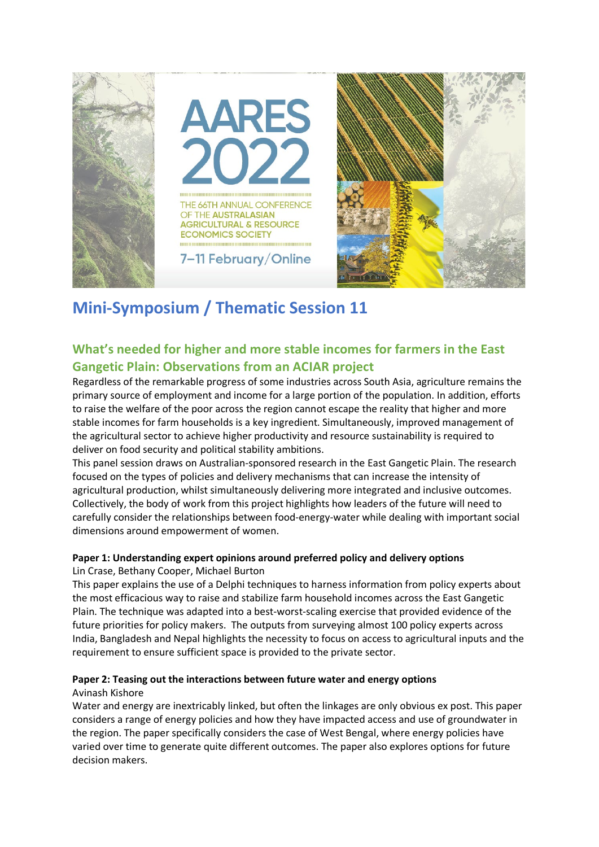

# **Mini-Symposium / Thematic Session 11**

# **What's needed for higher and more stable incomes for farmers in the East Gangetic Plain: Observations from an ACIAR project**

Regardless of the remarkable progress of some industries across South Asia, agriculture remains the primary source of employment and income for a large portion of the population. In addition, efforts to raise the welfare of the poor across the region cannot escape the reality that higher and more stable incomes for farm households is a key ingredient. Simultaneously, improved management of the agricultural sector to achieve higher productivity and resource sustainability is required to deliver on food security and political stability ambitions.

This panel session draws on Australian-sponsored research in the East Gangetic Plain. The research focused on the types of policies and delivery mechanisms that can increase the intensity of agricultural production, whilst simultaneously delivering more integrated and inclusive outcomes. Collectively, the body of work from this project highlights how leaders of the future will need to carefully consider the relationships between food-energy-water while dealing with important social dimensions around empowerment of women.

#### **Paper 1: Understanding expert opinions around preferred policy and delivery options** Lin Crase, Bethany Cooper, Michael Burton

This paper explains the use of a Delphi techniques to harness information from policy experts about the most efficacious way to raise and stabilize farm household incomes across the East Gangetic Plain. The technique was adapted into a best-worst-scaling exercise that provided evidence of the future priorities for policy makers. The outputs from surveying almost 100 policy experts across India, Bangladesh and Nepal highlights the necessity to focus on access to agricultural inputs and the requirement to ensure sufficient space is provided to the private sector.

# **Paper 2: Teasing out the interactions between future water and energy options**

#### Avinash Kishore

Water and energy are inextricably linked, but often the linkages are only obvious ex post. This paper considers a range of energy policies and how they have impacted access and use of groundwater in the region. The paper specifically considers the case of West Bengal, where energy policies have varied over time to generate quite different outcomes. The paper also explores options for future decision makers.